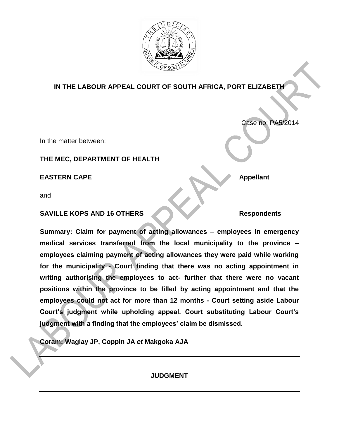

## **IN THE LABOUR APPEAL COURT OF SOUTH AFRICA, PORT ELIZABETH**

In the matter between:

## **THE MEC, DEPARTMENT OF HEALTH**

**EASTERN CAPE Appellant** 

and

## **SAVILLE KOPS AND 16 OTHERS Respondents**

Case no: PA5/2014

**Summary: Claim for payment of acting allowances – employees in emergency medical services transferred from the local municipality to the province – employees claiming payment of acting allowances they were paid while working for the municipality - Court finding that there was no acting appointment in writing authorising the employees to act- further that there were no vacant positions within the province to be filled by acting appointment and that the employees could not act for more than 12 months - Court setting aside Labour Court's judgment while upholding appeal. Court substituting Labour Court's judgment with a finding that the employees' claim be dismissed.** 

**Coram: Waglay JP, Coppin JA** *et* **Makgoka AJA**

**JUDGMENT**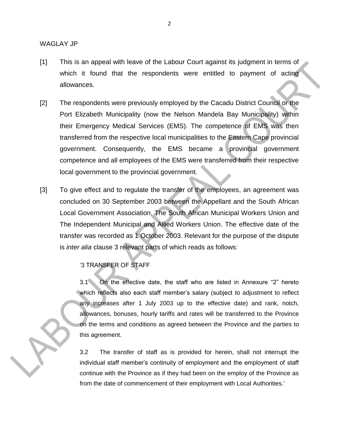- [1] This is an appeal with leave of the Labour Court against its judgment in terms of which it found that the respondents were entitled to payment of acting allowances.
- [2] The respondents were previously employed by the Cacadu District Council or the Port Elizabeth Municipality (now the Nelson Mandela Bay Municipality) within their Emergency Medical Services (EMS). The competence of EMS was then transferred from the respective local municipalities to the Eastern Cape provincial government. Consequently, the EMS became a provincial government competence and all employees of the EMS were transferred from their respective local government to the provincial government.
- [3] To give effect and to regulate the transfer of the employees, an agreement was concluded on 30 September 2003 between the Appellant and the South African Local Government Association, The South African Municipal Workers Union and The Independent Municipal and Allied Workers Union. The effective date of the transfer was recorded as 1 October 2003. Relevant for the purpose of the dispute is *inter alia* clause 3 relevant parts of which reads as follows:

'3 TRANSFER OF STAFF

3.1 On the effective date, the staff who are listed in Annexure "2" hereto which reflects also each staff member's salary (subject to adjustment to reflect any increases after 1 July 2003 up to the effective date) and rank, notch, allowances, bonuses, hourly tariffs and rates will be transferred to the Province on the terms and conditions as agreed between the Province and the parties to this agreement.

3.2 The transfer of staff as is provided for herein, shall not interrupt the individual staff member's continuity of employment and the employment of staff continue with the Province as if they had been on the employ of the Province as from the date of commencement of their employment with Local Authorities.'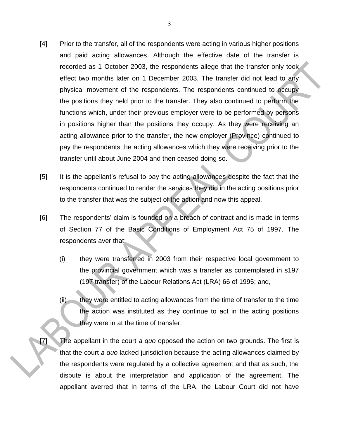- [4] Prior to the transfer, all of the respondents were acting in various higher positions and paid acting allowances. Although the effective date of the transfer is recorded as 1 October 2003, the respondents allege that the transfer only took effect two months later on 1 December 2003. The transfer did not lead to any physical movement of the respondents. The respondents continued to occupy the positions they held prior to the transfer. They also continued to perform the functions which, under their previous employer were to be performed by persons in positions higher than the positions they occupy. As they were receiving an acting allowance prior to the transfer, the new employer (Province) continued to pay the respondents the acting allowances which they were receiving prior to the transfer until about June 2004 and then ceased doing so.
- [5] It is the appellant's refusal to pay the acting allowances despite the fact that the respondents continued to render the services they did in the acting positions prior to the transfer that was the subject of the action and now this appeal.
- [6] The respondents' claim is founded on a breach of contract and is made in terms of Section 77 of the Basic Conditions of Employment Act 75 of 1997. The respondents aver that:
	- (i) they were transferred in 2003 from their respective local government to the provincial government which was a transfer as contemplated in s197 (197 transfer) of the Labour Relations Act (LRA) 66 of 1995; and,
	- (ii) they were entitled to acting allowances from the time of transfer to the time the action was instituted as they continue to act in the acting positions they were in at the time of transfer.
- [7] The appellant in the court *a quo* opposed the action on two grounds. The first is that the court *a quo* lacked jurisdiction because the acting allowances claimed by the respondents were regulated by a collective agreement and that as such, the dispute is about the interpretation and application of the agreement. The appellant averred that in terms of the LRA, the Labour Court did not have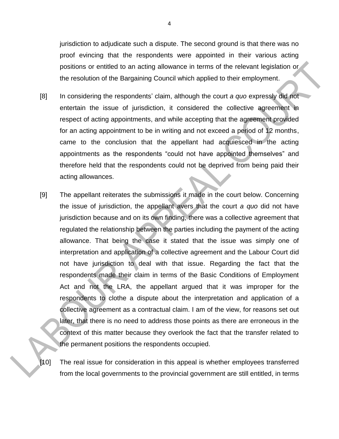jurisdiction to adjudicate such a dispute. The second ground is that there was no proof evincing that the respondents were appointed in their various acting positions or entitled to an acting allowance in terms of the relevant legislation or the resolution of the Bargaining Council which applied to their employment.

- [8] In considering the respondents' claim, although the court *a quo* expressly did not entertain the issue of jurisdiction, it considered the collective agreement in respect of acting appointments, and while accepting that the agreement provided for an acting appointment to be in writing and not exceed a period of 12 months, came to the conclusion that the appellant had acquiesced in the acting appointments as the respondents "could not have appointed themselves" and therefore held that the respondents could not be deprived from being paid their acting allowances.
- [9] The appellant reiterates the submissions it made in the court below. Concerning the issue of jurisdiction, the appellant avers that the court *a quo* did not have jurisdiction because and on its own finding, there was a collective agreement that regulated the relationship between the parties including the payment of the acting allowance. That being the case it stated that the issue was simply one of interpretation and application of a collective agreement and the Labour Court did not have jurisdiction to deal with that issue. Regarding the fact that the respondents made their claim in terms of the Basic Conditions of Employment Act and not the LRA, the appellant argued that it was improper for the respondents to clothe a dispute about the interpretation and application of a collective agreement as a contractual claim. I am of the view, for reasons set out later, that there is no need to address those points as there are erroneous in the context of this matter because they overlook the fact that the transfer related to the permanent positions the respondents occupied.
- [10] The real issue for consideration in this appeal is whether employees transferred from the local governments to the provincial government are still entitled, in terms

4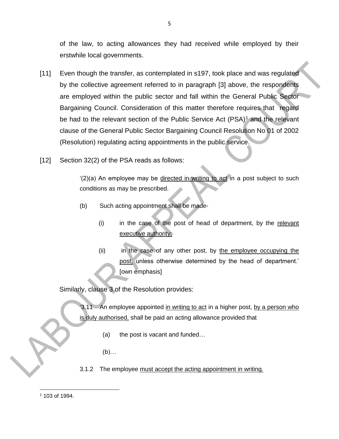of the law, to acting allowances they had received while employed by their erstwhile local governments.

- [11] Even though the transfer, as contemplated in s197, took place and was regulated by the collective agreement referred to in paragraph [3] above, the respondents are employed within the public sector and fall within the General Public Sector Bargaining Council. Consideration of this matter therefore requires that regard be had to the relevant section of the Public Service Act  $(PSA)^1$  and the relevant clause of the General Public Sector Bargaining Council Resolution No 01 of 2002 (Resolution) regulating acting appointments in the public service.
- [12] Section 32(2) of the PSA reads as follows:

'(2)(a) An employee may be directed in writing to act in a post subject to such conditions as may be prescribed.

- (b) Such acting appointment shall be made-
	- (i) in the case of the post of head of department, by the relevant executive authority;
	- (ii) in the case of any other post, by the employee occupying the post, unless otherwise determined by the head of department.' [own emphasis]

Similarly, clause 3 of the Resolution provides:

'3.11 An employee appointed in writing to act in a higher post, by a person who is duly authorised, shall be paid an acting allowance provided that

- (a) the post is vacant and funded…
- (b)…
- 3.1.2 The employee must accept the acting appointment in writing*.*

 $\overline{\phantom{a}}$ <sup>1</sup> 103 of 1994.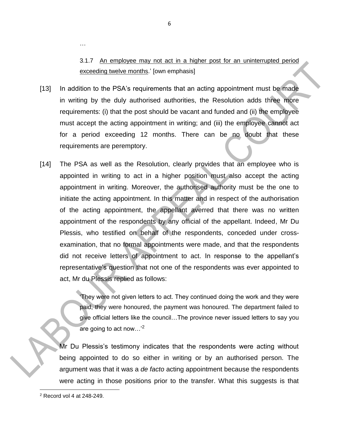3.1.7 An employee may not act in a higher post for an uninterrupted period exceeding twelve months.' [own emphasis]

- [13] In addition to the PSA's requirements that an acting appointment must be made in writing by the duly authorised authorities, the Resolution adds three more requirements: (i) that the post should be vacant and funded and (ii) the employee must accept the acting appointment in writing; and (iii) the employee cannot act for a period exceeding 12 months. There can be no doubt that these requirements are peremptory.
- [14] The PSA as well as the Resolution, clearly provides that an employee who is appointed in writing to act in a higher position must also accept the acting appointment in writing. Moreover, the authorised authority must be the one to initiate the acting appointment. In this matter and in respect of the authorisation of the acting appointment, the appellant averred that there was no written appointment of the respondents by any official of the appellant. Indeed, Mr Du Plessis, who testified on behalf of the respondents, conceded under crossexamination, that no formal appointments were made, and that the respondents did not receive letters of appointment to act. In response to the appellant's representative's question that not one of the respondents was ever appointed to act, Mr du Plessis replied as follows:

'They were not given letters to act. They continued doing the work and they were paid, they were honoured, the payment was honoured. The department failed to give official letters like the council…The province never issued letters to say you are going to act now... $^{2}$ 

Mr Du Plessis's testimony indicates that the respondents were acting without being appointed to do so either in writing or by an authorised person. The argument was that it was a *de facto* acting appointment because the respondents were acting in those positions prior to the transfer. What this suggests is that

 $\overline{\phantom{a}}$ 

…

<sup>2</sup> Record vol 4 at 248-249.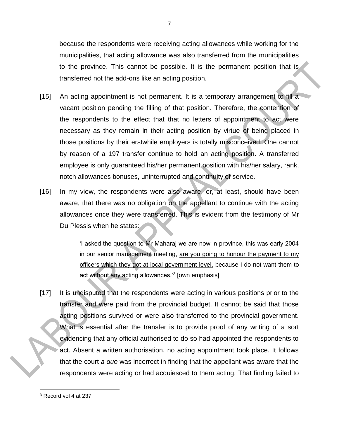because the respondents were receiving acting allowances while working for the municipalities, that acting allowance was also transferred from the municipalities to the province. This cannot be possible. It is the permanent position that is transferred not the add-ons like an acting position.

- [15] An acting appointment is not permanent. It is a temporary arrangement to fill a vacant position pending the filling of that position. Therefore, the contention of the respondents to the effect that that no letters of appointment to act were necessary as they remain in their acting position by virtue of being placed in those positions by their erstwhile employers is totally misconceived. One cannot by reason of a 197 transfer continue to hold an acting position. A transferred employee is only guaranteed his/her permanent position with his/her salary, rank, notch allowances bonuses, uninterrupted and continuity of service.
- [16] In my view, the respondents were also aware, or, at least, should have been aware, that there was no obligation on the appellant to continue with the acting allowances once they were transferred. This is evident from the testimony of Mr Du Plessis when he states:

'I asked the question to Mr Maharaj we are now in province, this was early 2004 in our senior management meeting, are you going to honour the payment to my officers which they got at local government level, because I do not want them to act without any acting allowances.'<sup>3</sup> [own emphasis]

[17] It is undisputed that the respondents were acting in various positions prior to the transfer and were paid from the provincial budget. It cannot be said that those acting positions survived or were also transferred to the provincial government. What is essential after the transfer is to provide proof of any writing of a sort evidencing that any official authorised to do so had appointed the respondents to act. Absent a written authorisation, no acting appointment took place. It follows that the court *a quo* was incorrect in finding that the appellant was aware that the respondents were acting or had acquiesced to them acting. That finding failed to

 $\overline{\phantom{a}}$ <sup>3</sup> Record vol 4 at 237.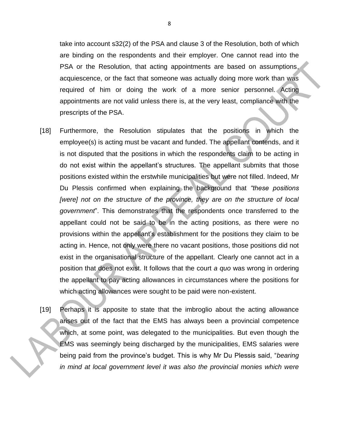take into account s32(2) of the PSA and clause 3 of the Resolution, both of which are binding on the respondents and their employer. One cannot read into the PSA or the Resolution, that acting appointments are based on assumptions, acquiescence, or the fact that someone was actually doing more work than was required of him or doing the work of a more senior personnel. Acting appointments are not valid unless there is, at the very least, compliance with the prescripts of the PSA.

- [18] Furthermore, the Resolution stipulates that the positions in which the employee(s) is acting must be vacant and funded. The appellant contends, and it is not disputed that the positions in which the respondents claim to be acting in do not exist within the appellant's structures. The appellant submits that those positions existed within the erstwhile municipalities but were not filled. Indeed, Mr Du Plessis confirmed when explaining the background that *"these positions*  [were] not on the structure of the province, they are on the structure of local *government*". This demonstrates that the respondents once transferred to the appellant could not be said to be in the acting positions, as there were no provisions within the appellant's establishment for the positions they claim to be acting in. Hence, not only were there no vacant positions, those positions did not exist in the organisational structure of the appellant. Clearly one cannot act in a position that does not exist. It follows that the court *a quo* was wrong in ordering the appellant to pay acting allowances in circumstances where the positions for which acting allowances were sought to be paid were non-existent.
- [19] Perhaps it is apposite to state that the imbroglio about the acting allowance arises out of the fact that the EMS has always been a provincial competence which, at some point, was delegated to the municipalities. But even though the EMS was seemingly being discharged by the municipalities, EMS salaries were being paid from the province's budget. This is why Mr Du Plessis said, "*bearing in mind at local government level it was also the provincial monies which were*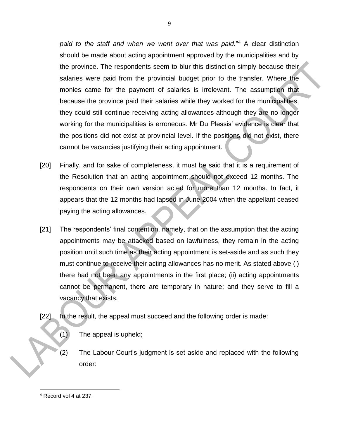*paid to the staff and when we went over that was paid.*" <sup>4</sup> A clear distinction should be made about acting appointment approved by the municipalities and by the province. The respondents seem to blur this distinction simply because their salaries were paid from the provincial budget prior to the transfer. Where the monies came for the payment of salaries is irrelevant. The assumption that because the province paid their salaries while they worked for the municipalities, they could still continue receiving acting allowances although they are no longer working for the municipalities is erroneous. Mr Du Plessis' evidence is clear that the positions did not exist at provincial level. If the positions did not exist, there cannot be vacancies justifying their acting appointment.

- [20] Finally, and for sake of completeness, it must be said that it is a requirement of the Resolution that an acting appointment should not exceed 12 months. The respondents on their own version acted for more than 12 months. In fact, it appears that the 12 months had lapsed in June 2004 when the appellant ceased paying the acting allowances.
- [21] The respondents' final contention, namely, that on the assumption that the acting appointments may be attacked based on lawfulness, they remain in the acting position until such time as their acting appointment is set-aside and as such they must continue to receive their acting allowances has no merit. As stated above (i) there had not been any appointments in the first place; (ii) acting appointments cannot be permanent, there are temporary in nature; and they serve to fill a vacancy that exists.
- [22] In the result, the appeal must succeed and the following order is made:
	- (1) The appeal is upheld;
	- (2) The Labour Court's judgment is set aside and replaced with the following order:

 $\overline{\phantom{a}}$ <sup>4</sup> Record vol 4 at 237.